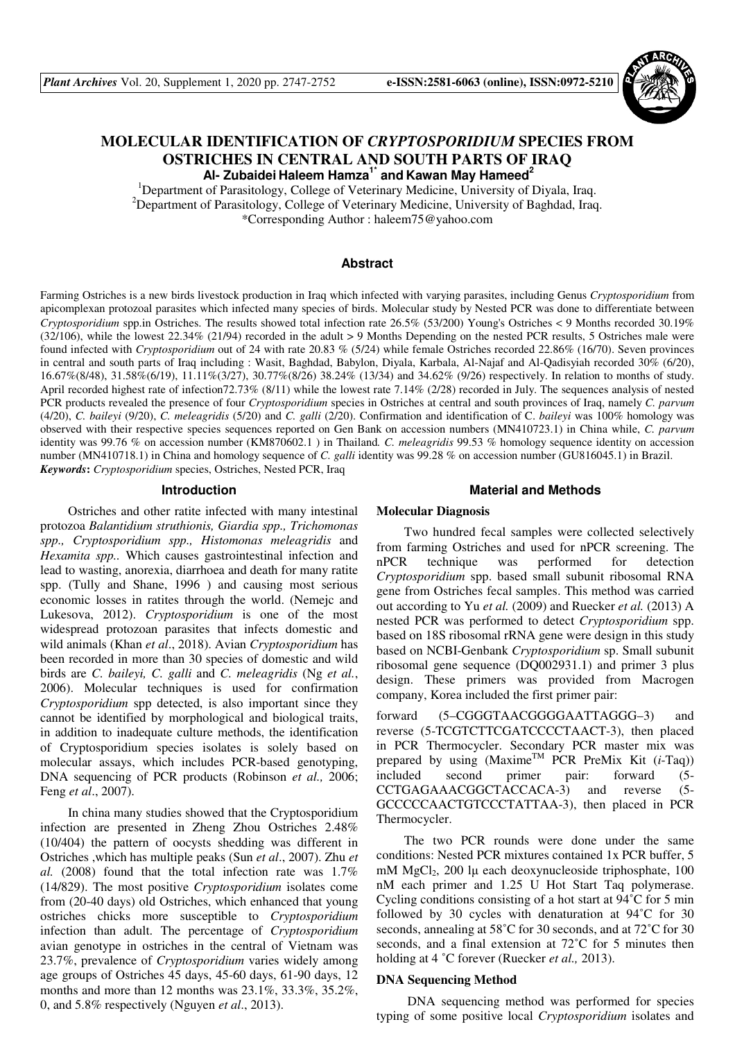

# **MOLECULAR IDENTIFICATION OF** *CRYPTOSPORIDIUM* **SPECIES FROM OSTRICHES IN CENTRAL AND SOUTH PARTS OF IRAQ Al- Zubaidei Haleem Hamza1\* and Kawan May Hameed<sup>2</sup>**

<sup>1</sup>Department of Parasitology, College of Veterinary Medicine, University of Diyala, Iraq. <sup>2</sup>Department of Parasitology, College of Veterinary Medicine, University of Baghdad, Iraq. \*Corresponding Author : haleem75@yahoo.com

# **Abstract**

Farming Ostriches is a new birds livestock production in Iraq which infected with varying parasites, including Genus *Cryptosporidium* from apicomplexan protozoal parasites which infected many species of birds. Molecular study by Nested PCR was done to differentiate between *Cryptosporidium* spp.in Ostriches. The results showed total infection rate 26.5% (53/200) Young's Ostriches < 9 Months recorded 30.19% (32/106), while the lowest 22.34% (21/94) recorded in the adult > 9 Months Depending on the nested PCR results, 5 Ostriches male were found infected with *Cryptosporidium* out of 24 with rate 20.83 % (5/24) while female Ostriches recorded 22.86% (16/70). Seven provinces in central and south parts of Iraq including : Wasit, Baghdad, Babylon, Diyala, Karbala, Al-Najaf and Al-Qadisyiah recorded 30% (6/20), 16.67%(8/48), 31.58%(6/19), 11.11%(3/27), 30.77%(8/26) 38.24% (13/34) and 34.62% (9/26) respectively. In relation to months of study. April recorded highest rate of infection72.73% (8/11) while the lowest rate 7.14% (2/28) recorded in July. The sequences analysis of nested PCR products revealed the presence of four *Cryptosporidium* species in Ostriches at central and south provinces of Iraq, namely *C. parvum*  (4/20), *C. baileyi* (9/20), *C. meleagridis* (5/20) and *C. galli* (2/20). Confirmation and identification of C. *baileyi* was 100% homology was observed with their respective species sequences reported on Gen Bank on accession numbers (MN410723.1) in China while, *C. parvum* identity was 99.76 % on accession number (KM870602.1 ) in Thailand*. C. meleagridis* 99.53 % homology sequence identity on accession number (MN410718.1) in China and homology sequence of *C. galli* identity was 99.28 % on accession number (GU816045.1) in Brazil. *Keywords***:** *Cryptosporidium* species, Ostriches, Nested PCR, Iraq

### **Introduction**

Ostriches and other ratite infected with many intestinal protozoa *Balantidium struthionis, Giardia spp., Trichomonas spp., Cryptosporidium spp., Histomonas meleagridis* and *Hexamita spp..* Which causes gastrointestinal infection and lead to wasting, anorexia, diarrhoea and death for many ratite spp. (Tully and Shane, 1996 ) and causing most serious economic losses in ratites through the world. (Nemejc and Lukesova, 2012). *Cryptosporidium* is one of the most widespread protozoan parasites that infects domestic and wild animals (Khan *et al*., 2018). Avian *Cryptosporidium* has been recorded in more than 30 species of domestic and wild birds are *C. baileyi, C. galli* and *C. meleagridis* (Ng *et al.*, 2006). Molecular techniques is used for confirmation *Cryptosporidium* spp detected, is also important since they cannot be identified by morphological and biological traits, in addition to inadequate culture methods, the identification of Cryptosporidium species isolates is solely based on molecular assays, which includes PCR-based genotyping, DNA sequencing of PCR products (Robinson *et al.,* 2006; Feng *et al*., 2007).

In china many studies showed that the Cryptosporidium infection are presented in Zheng Zhou Ostriches 2.48% (10/404) the pattern of oocysts shedding was different in Ostriches ,which has multiple peaks (Sun *et al*., 2007). Zhu *et al.* (2008) found that the total infection rate was 1.7% (14/829). The most positive *Cryptosporidium* isolates come from (20-40 days) old Ostriches, which enhanced that young ostriches chicks more susceptible to *Cryptosporidium*  infection than adult. The percentage of *Cryptosporidium* avian genotype in ostriches in the central of Vietnam was 23.7%, prevalence of *Cryptosporidium* varies widely among age groups of Ostriches 45 days, 45-60 days, 61-90 days, 12 months and more than 12 months was 23.1%, 33.3%, 35.2%, 0, and 5.8% respectively (Nguyen *et al*., 2013).

#### **Material and Methods**

### **Molecular Diagnosis**

Two hundred fecal samples were collected selectively from farming Ostriches and used for nPCR screening. The nPCR technique was performed for detection *Cryptosporidium* spp. based small subunit ribosomal RNA gene from Ostriches fecal samples. This method was carried out according to Yu *et al.* (2009) and Ruecker *et al.* (2013) A nested PCR was performed to detect *Cryptosporidium* spp. based on 18S ribosomal rRNA gene were design in this study based on NCBI-Genbank *Cryptosporidium* sp. Small subunit ribosomal gene sequence (DQ002931.1) and primer 3 plus design. These primers was provided from Macrogen company, Korea included the first primer pair:

forward (5–CGGGTAACGGGGAATTAGGG–3) and reverse (5-TCGTCTTCGATCCCCTAACT-3), then placed in PCR Thermocycler. Secondary PCR master mix was prepared by using (MaximeTM PCR PreMix Kit (*i*-Taq)) included second primer pair: forward (5- CCTGAGAAACGGCTACCACA-3) and reverse (5- GCCCCCAACTGTCCCTATTAA-3), then placed in PCR Thermocycler.

The two PCR rounds were done under the same conditions: Nested PCR mixtures contained 1x PCR buffer, 5 mM  $MgCl<sub>2</sub>$ , 200 lµ each deoxynucleoside triphosphate, 100 nM each primer and 1.25 U Hot Start Taq polymerase. Cycling conditions consisting of a hot start at 94˚C for 5 min followed by 30 cycles with denaturation at 94˚C for 30 seconds, annealing at 58°C for 30 seconds, and at 72°C for 30 seconds, and a final extension at 72˚C for 5 minutes then holding at 4 ˚C forever (Ruecker *et al.,* 2013).

### **DNA Sequencing Method**

 DNA sequencing method was performed for species typing of some positive local *Cryptosporidium* isolates and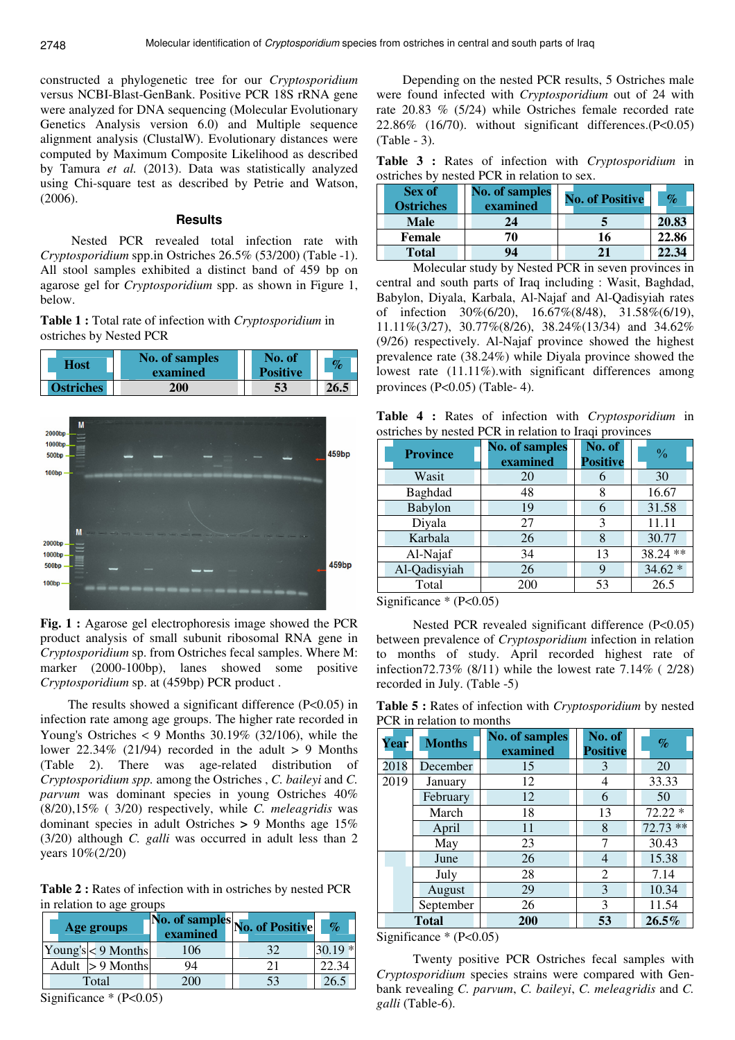constructed a phylogenetic tree for our *Cryptosporidium* versus NCBI-Blast-GenBank. Positive PCR 18S rRNA gene were analyzed for DNA sequencing (Molecular Evolutionary Genetics Analysis version 6.0) and Multiple sequence alignment analysis (ClustalW). Evolutionary distances were computed by Maximum Composite Likelihood as described by Tamura *et al.* (2013). Data was statistically analyzed using Chi-square test as described by Petrie and Watson, (2006).

## **Results**

 Nested PCR revealed total infection rate with *Cryptosporidium* spp.in Ostriches 26.5% (53/200) (Table -1). All stool samples exhibited a distinct band of 459 bp on agarose gel for *Cryptosporidium* spp. as shown in Figure 1, below.

**Table 1 :** Total rate of infection with *Cryptosporidium* in ostriches by Nested PCR





**Fig. 1 :** Agarose gel electrophoresis image showed the PCR product analysis of small subunit ribosomal RNA gene in *Cryptosporidium* sp. from Ostriches fecal samples. Where M: marker (2000-100bp), lanes showed some positive *Cryptosporidium* sp. at (459bp) PCR product .

The results showed a significant difference (P<0.05) in infection rate among age groups. The higher rate recorded in Young's Ostriches  $\lt 9$  Months 30.19% (32/106), while the lower 22.34% (21/94) recorded in the adult > 9 Months (Table 2). There was age-related distribution of *Cryptosporidium spp.* among the Ostriches , *C. baileyi* and *C. parvum* was dominant species in young Ostriches 40% (8/20),15% ( 3/20) respectively, while *C. meleagridis* was dominant species in adult Ostriches **>** 9 Months age 15% (3/20) although *C. galli* was occurred in adult less than 2 years 10%(2/20)

**Table 2 :** Rates of infection with in ostriches by nested PCR in relation to age groups

| Age groups           |              | examined | 1No. of samples No. of Positive | $\%$     |
|----------------------|--------------|----------|---------------------------------|----------|
| Young's $<$ 9 Months |              | 106      | 32                              | $30.19*$ |
| Adult                | $> 9$ Months | 94       | າ 1                             |          |
| Total                |              | 200      |                                 | 26.2     |

Significance  $*(P<0.05)$ 

 Depending on the nested PCR results, 5 Ostriches male were found infected with *Cryptosporidium* out of 24 with rate 20.83 % (5/24) while Ostriches female recorded rate  $22.86\%$  (16/70). without significant differences.(P<0.05) (Table - 3).

**Table 3 :** Rates of infection with *Cryptosporidium* in ostriches by nested PCR in relation to sex.

| Sex of<br><b>Ostriches</b> | <b>No. of samples</b><br>examined | <b>No. of Positive</b> | $\%$  |
|----------------------------|-----------------------------------|------------------------|-------|
| <b>Male</b>                | 24                                |                        | 20.83 |
| <b>Female</b>              | 70                                | 16                     | 22.86 |
| <b>Total</b>               | 94                                |                        |       |

Molecular study by Nested PCR in seven provinces in central and south parts of Iraq including : Wasit, Baghdad, Babylon, Diyala, Karbala, Al-Najaf and Al-Qadisyiah rates of infection 30%(6/20), 16.67%(8/48), 31.58%(6/19), 11.11%(3/27), 30.77%(8/26), 38.24%(13/34) and 34.62% (9/26) respectively. Al-Najaf province showed the highest prevalence rate (38.24%) while Diyala province showed the lowest rate (11.11%).with significant differences among provinces (P<0.05) (Table- 4).

**Table 4 :** Rates of infection with *Cryptosporidium* in ostriches by nested PCR in relation to Iraqi provinces

| <b>Province</b> | <b>No. of samples</b><br>examined | No. of<br><b>Positive</b> | $\frac{0}{0}$ |
|-----------------|-----------------------------------|---------------------------|---------------|
| Wasit           | 20                                | 6                         | 30            |
| Baghdad         | 48                                |                           | 16.67         |
| Babylon         | 19                                |                           | 31.58         |
| Diyala          | 27                                | 3                         | 11.11         |
| Karbala         | 26                                | 8                         | 30.77         |
| Al-Najaf        | 34                                | 13                        | 38.24 **      |
| Al-Qadisyiah    | 26                                | 9                         | $34.62*$      |
| Total           | 200                               | 53                        | 26.5          |

Significance \* (P<0.05)

Nested PCR revealed significant difference (P<0.05) between prevalence of *Cryptosporidium* infection in relation to months of study. April recorded highest rate of infection72.73% (8/11) while the lowest rate 7.14% ( 2/28) recorded in July. (Table -5)

**Table 5 :** Rates of infection with *Cryptosporidium* by nested PCR in relation to months

| <b>Year</b>  | <b>Months</b> | <b>No. of samples</b><br>examined | No. of<br><b>Positive</b> | $\%$       |
|--------------|---------------|-----------------------------------|---------------------------|------------|
| 2018         | December      | 15                                | 3                         | 20         |
| 2019         | January       | 12                                | 4                         | 33.33      |
|              | February      | 12                                | 6                         | 50         |
|              | March         | 18                                | 13                        | $72.22*$   |
|              | April         | 11                                | 8                         | $72.73$ ** |
|              | May           | 23                                |                           | 30.43      |
|              | June          | 26                                | 4                         | 15.38      |
|              | July          | 28                                | 2                         | 7.14       |
|              | August        | 29                                | 3                         | 10.34      |
|              | September     | 26                                | 3                         | 11.54      |
| <b>Total</b> |               | 200                               | 53                        | 26.5%      |

Significance  $*(P<0.05)$ 

Twenty positive PCR Ostriches fecal samples with *Cryptosporidium* species strains were compared with Genbank revealing *C. parvum*, *C. baileyi*, *C. meleagridis* and *C. galli* (Table-6).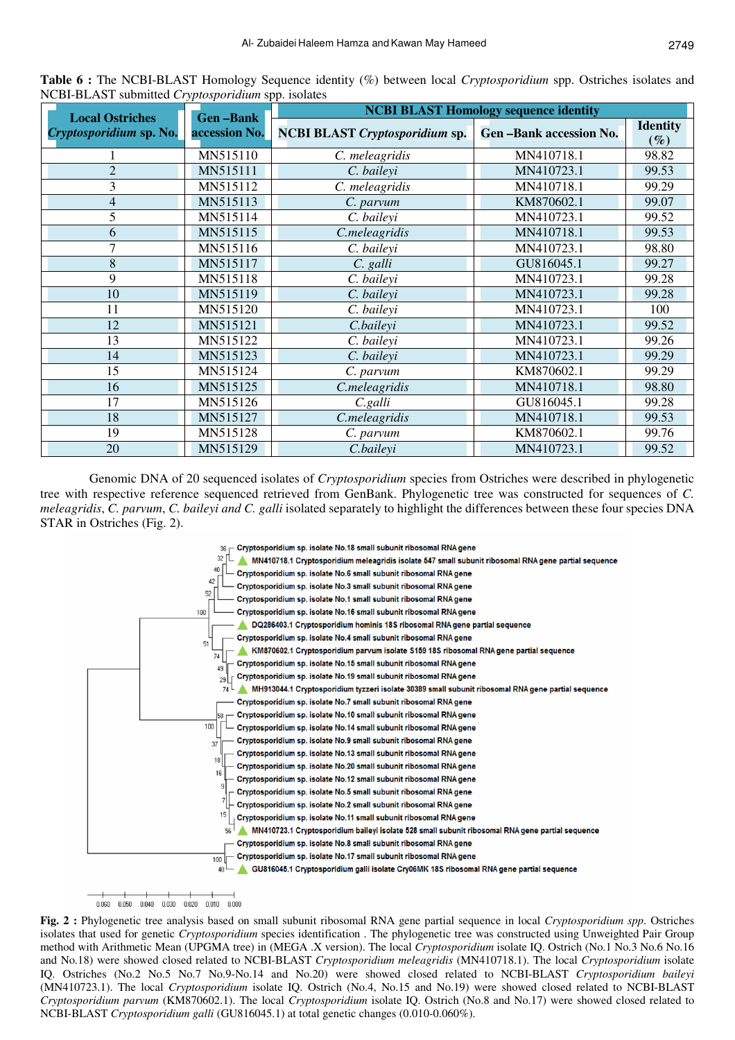| <b>Local Ostriches</b>  | <b>NCBI BLAST Homology sequence identity</b><br><b>Gen-Bank</b> |                                       |                               |                           |
|-------------------------|-----------------------------------------------------------------|---------------------------------------|-------------------------------|---------------------------|
| Cryptosporidium sp. No. | accession No.                                                   | <b>NCBI BLAST Cryptosporidium sp.</b> | <b>Gen-Bank accession No.</b> | <b>Identity</b><br>$(\%)$ |
|                         | MN515110                                                        | C. meleagridis                        | MN410718.1                    | 98.82                     |
| $\overline{2}$          | MN515111                                                        | C. baileyi                            | MN410723.1                    | 99.53                     |
| 3                       | MN515112                                                        | C. meleagridis                        | MN410718.1                    | 99.29                     |
| $\overline{4}$          | MN515113                                                        | C. parvum                             | KM870602.1                    | 99.07                     |
| 5                       | MN515114                                                        | C. baileyi                            | MN410723.1                    | 99.52                     |
| 6                       | MN515115                                                        | C.meleagridis                         | MN410718.1                    | 99.53                     |
| 7                       | MN515116                                                        | C. baileyi                            | MN410723.1                    | 98.80                     |
| 8                       | MN515117                                                        | C. galli                              | GU816045.1                    | 99.27                     |
| 9                       | MN515118                                                        | C. baileyi                            | MN410723.1                    | 99.28                     |
| 10                      | MN515119                                                        | C. baileyi                            | MN410723.1                    | 99.28                     |
| 11                      | MN515120                                                        | C. baileyi                            | MN410723.1                    | 100                       |
| 12                      | MN515121                                                        | C.baileyi                             | MN410723.1                    | 99.52                     |
| 13                      | MN515122                                                        | C. baileyi                            | MN410723.1                    | 99.26                     |
| 14                      | MN515123                                                        | C. baileyi                            | MN410723.1                    | 99.29                     |
| 15                      | MN515124                                                        | C. parvum                             | KM870602.1                    | 99.29                     |
| 16                      | MN515125                                                        | C.meleagridis                         | MN410718.1                    | 98.80                     |
| 17                      | MN515126                                                        | $C$ .galli                            | GU816045.1                    | 99.28                     |
| 18                      | MN515127                                                        | C.meleagridis                         | MN410718.1                    | 99.53                     |
| 19                      | MN515128                                                        | C. parvum                             | KM870602.1                    | 99.76                     |
| 20                      | MN515129                                                        | C.baileyi                             | MN410723.1                    | 99.52                     |

**Table 6 :** The NCBI-BLAST Homology Sequence identity (%) between local *Cryptosporidium* spp. Ostriches isolates and NCBI-BLAST submitted *Cryptosporidium* spp. isolates

Genomic DNA of 20 sequenced isolates of *Cryptosporidium* species from Ostriches were described in phylogenetic tree with respective reference sequenced retrieved from GenBank. Phylogenetic tree was constructed for sequences of *C. meleagridis*, *C. parvum*, *C. baileyi and C. galli* isolated separately to highlight the differences between these four species DNA STAR in Ostriches (Fig. 2).



**Fig. 2 :** Phylogenetic tree analysis based on small subunit ribosomal RNA gene partial sequence in local *Cryptosporidium spp*. Ostriches isolates that used for genetic *Cryptosporidium* species identification . The phylogenetic tree was constructed using Unweighted Pair Group method with Arithmetic Mean (UPGMA tree) in (MEGA .X version). The local *Cryptosporidium* isolate IQ. Ostrich (No.1 No.3 No.6 No.16 and No.18) were showed closed related to NCBI-BLAST *Cryptosporidium meleagridis* (MN410718.1). The local *Cryptosporidium* isolate IQ. Ostriches (No.2 No.5 No.7 No.9-No.14 and No.20) were showed closed related to NCBI-BLAST *Cryptosporidium baileyi*  (MN410723.1). The local *Cryptosporidium* isolate IQ. Ostrich (No.4, No.15 and No.19) were showed closed related to NCBI-BLAST *Cryptosporidium parvum* (KM870602.1). The local *Cryptosporidium* isolate IQ. Ostrich (No.8 and No.17) were showed closed related to NCBI-BLAST *Cryptosporidium galli* (GU816045.1) at total genetic changes (0.010-0.060%).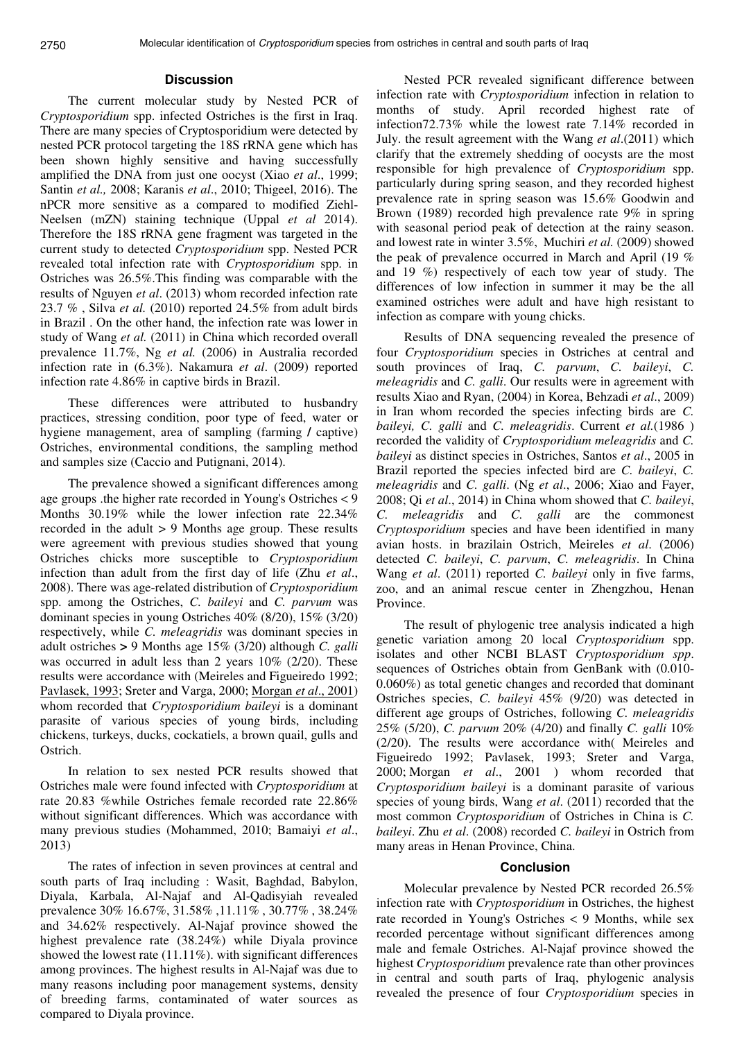### **Discussion**

The current molecular study by Nested PCR of *Cryptosporidium* spp. infected Ostriches is the first in Iraq. There are many species of Cryptosporidium were detected by nested PCR protocol targeting the 18S rRNA gene which has been shown highly sensitive and having successfully amplified the DNA from just one oocyst (Xiao *et al*., 1999; Santin *et al.,* 2008; Karanis *et al*., 2010; Thigeel, 2016). The nPCR more sensitive as a compared to modified Ziehl-Neelsen (mZN) staining technique (Uppal *et al* 2014). Therefore the 18S rRNA gene fragment was targeted in the current study to detected *Cryptosporidium* spp. Nested PCR revealed total infection rate with *Cryptosporidium* spp. in Ostriches was 26.5%.This finding was comparable with the results of Nguyen *et al*. (2013) whom recorded infection rate 23.7 % , Silva *et al.* (2010) reported 24.5% from adult birds in Brazil . On the other hand, the infection rate was lower in study of Wang *et al.* (2011) in China which recorded overall prevalence 11.7%, Ng *et al.* (2006) in Australia recorded infection rate in (6.3%). Nakamura *et al*. (2009) reported infection rate 4.86% in captive birds in Brazil.

These differences were attributed to husbandry practices, stressing condition, poor type of feed, water or hygiene management, area of sampling (farming **/** captive) Ostriches, environmental conditions, the sampling method and samples size (Caccio and Putignani, 2014).

The prevalence showed a significant differences among age groups .the higher rate recorded in Young's Ostriches < 9 Months 30.19% while the lower infection rate 22.34% recorded in the adult > 9 Months age group. These results were agreement with previous studies showed that young Ostriches chicks more susceptible to *Cryptosporidium*  infection than adult from the first day of life (Zhu *et al*., 2008). There was age-related distribution of *Cryptosporidium*  spp. among the Ostriches, *C. baileyi* and *C. parvum* was dominant species in young Ostriches 40% (8/20), 15% (3/20) respectively, while *C. meleagridis* was dominant species in adult ostriches **>** 9 Months age 15% (3/20) although *C. galli*  was occurred in adult less than 2 years 10% (2/20). These results were accordance with (Meireles and Figueiredo 1992; Pavlasek, 1993; Sreter and Varga, 2000; Morgan *et al*., 2001) whom recorded that *Cryptosporidium baileyi* is a dominant parasite of various species of young birds, including chickens, turkeys, ducks, cockatiels, a brown quail, gulls and Ostrich.

In relation to sex nested PCR results showed that Ostriches male were found infected with *Cryptosporidium* at rate 20.83 %while Ostriches female recorded rate 22.86% without significant differences. Which was accordance with many previous studies (Mohammed, 2010; Bamaiyi *et al*., 2013)

The rates of infection in seven provinces at central and south parts of Iraq including : Wasit, Baghdad, Babylon, Diyala, Karbala, Al-Najaf and Al-Qadisyiah revealed prevalence 30% 16.67%, 31.58% ,11.11% , 30.77% , 38.24% and 34.62% respectively. Al-Najaf province showed the highest prevalence rate (38.24%) while Diyala province showed the lowest rate (11.11%). with significant differences among provinces. The highest results in Al-Najaf was due to many reasons including poor management systems, density of breeding farms, contaminated of water sources as compared to Diyala province.

Nested PCR revealed significant difference between infection rate with *Cryptosporidium* infection in relation to months of study. April recorded highest rate of infection72.73% while the lowest rate 7.14% recorded in July. the result agreement with the Wang *et al*.(2011) which clarify that the extremely shedding of oocysts are the most responsible for high prevalence of *Cryptosporidium* spp. particularly during spring season, and they recorded highest prevalence rate in spring season was 15.6% Goodwin and Brown (1989) recorded high prevalence rate 9% in spring with seasonal period peak of detection at the rainy season. and lowest rate in winter 3.5%, Muchiri *et al.* (2009) showed the peak of prevalence occurred in March and April (19 % and 19 %) respectively of each tow year of study. The differences of low infection in summer it may be the all examined ostriches were adult and have high resistant to infection as compare with young chicks.

Results of DNA sequencing revealed the presence of four *Cryptosporidium* species in Ostriches at central and south provinces of Iraq, *C. parvum*, *C. baileyi*, *C. meleagridis* and *C. galli*. Our results were in agreement with results Xiao and Ryan, (2004) in Korea, Behzadi *et al*., 2009) in Iran whom recorded the species infecting birds are *C. baileyi, C. galli* and *C. meleagridis*. Current *et al.*(1986 ) recorded the validity of *Cryptosporidium meleagridis* and *C. baileyi* as distinct species in Ostriches, Santos *et al*., 2005 in Brazil reported the species infected bird are *C. baileyi*, *C. meleagridis* and *C. galli*. (Ng *et al*., 2006; Xiao and Fayer, 2008; Qi *et al*., 2014) in China whom showed that *C. baileyi*, *C. meleagridis* and *C. galli* are the commonest *Cryptosporidium* species and have been identified in many avian hosts. in brazilain Ostrich, Meireles *et al*. (2006) detected *C. baileyi*, *C. parvum*, *C. meleagridis*. In China Wang *et al*. (2011) reported *C. baileyi* only in five farms, zoo, and an animal rescue center in Zhengzhou, Henan Province.

The result of phylogenic tree analysis indicated a high genetic variation among 20 local *Cryptosporidium* spp. isolates and other NCBI BLAST *Cryptosporidium spp*. sequences of Ostriches obtain from GenBank with (0.010- 0.060%) as total genetic changes and recorded that dominant Ostriches species, *C. baileyi* 45% (9/20) was detected in different age groups of Ostriches, following *C. meleagridis* 25% (5/20), *C. parvum* 20% (4/20) and finally *C. galli* 10% (2/20). The results were accordance with( Meireles and Figueiredo 1992; Pavlasek, 1993; Sreter and Varga, 2000; Morgan *et al*., 2001 ) whom recorded that *Cryptosporidium baileyi* is a dominant parasite of various species of young birds, Wang *et al*. (2011) recorded that the most common *Cryptosporidium* of Ostriches in China is *C. baileyi*. Zhu *et al*. (2008) recorded *C. baileyi* in Ostrich from many areas in Henan Province, China.

### **Conclusion**

Molecular prevalence by Nested PCR recorded 26.5% infection rate with *Cryptosporidium* in Ostriches, the highest rate recorded in Young's Ostriches < 9 Months, while sex recorded percentage without significant differences among male and female Ostriches. Al-Najaf province showed the highest *Cryptosporidium* prevalence rate than other provinces in central and south parts of Iraq, phylogenic analysis revealed the presence of four *Cryptosporidium* species in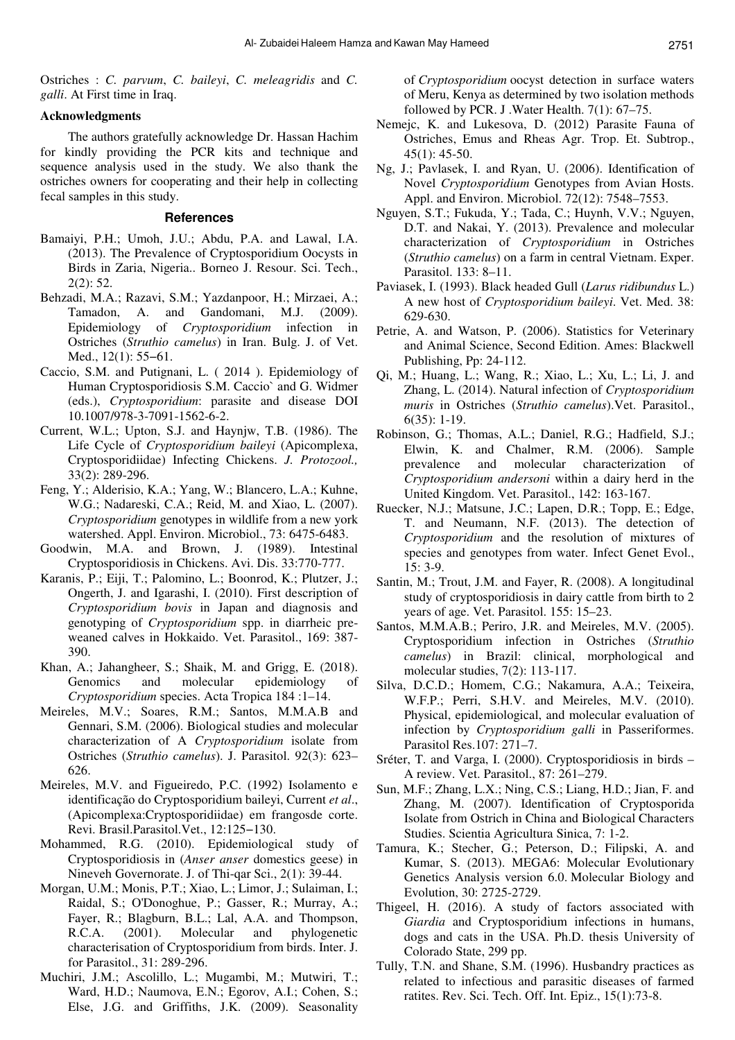Ostriches : *C. parvum*, *C. baileyi*, *C. meleagridis* and *C. galli*. At First time in Iraq.

### **Acknowledgments**

The authors gratefully acknowledge Dr. Hassan Hachim for kindly providing the PCR kits and technique and sequence analysis used in the study. We also thank the ostriches owners for cooperating and their help in collecting fecal samples in this study.

#### **References**

- Bamaiyi, P.H.; Umoh, J.U.; Abdu, P.A. and Lawal, I.A. (2013). The Prevalence of Cryptosporidium Oocysts in Birds in Zaria, Nigeria.. Borneo J. Resour. Sci. Tech., 2(2): 52.
- Behzadi, M.A.; Razavi, S.M.; Yazdanpoor, H.; Mirzaei, A.; Tamadon, A. and Gandomani, M.J. (2009). Epidemiology of *Cryptosporidium* infection in Ostriches (*Struthio camelus*) in Iran. Bulg. J. of Vet. Med., 12(1): 55−61.
- Caccio, S.M. and Putignani, L. ( 2014 ). Epidemiology of Human Cryptosporidiosis S.M. Caccio` and G. Widmer (eds.), *Cryptosporidium*: parasite and disease DOI 10.1007/978-3-7091-1562-6-2.
- Current, W.L.; Upton, S.J. and Haynjw, T.B. (1986). The Life Cycle of *Cryptosporidium baileyi* (Apicomplexa, Cryptosporidiidae) Infecting Chickens. *J. Protozool.,*  33(2): 289-296.
- Feng, Y.; Alderisio, K.A.; Yang, W.; Blancero, L.A.; Kuhne, W.G.; Nadareski, C.A.; Reid, M. and Xiao, L. (2007). *Cryptosporidium* genotypes in wildlife from a new york watershed. Appl. Environ. Microbiol., 73: 6475-6483.
- Goodwin, M.A. and Brown, J. (1989). Intestinal Cryptosporidiosis in Chickens. Avi. Dis. 33:770-777.
- Karanis, P.; Eiji, T.; Palomino, L.; Boonrod, K.; Plutzer, J.; Ongerth, J. and Igarashi, I. (2010). First description of *Cryptosporidium bovis* in Japan and diagnosis and genotyping of *Cryptosporidium* spp. in diarrheic preweaned calves in Hokkaido. Vet. Parasitol., 169: 387- 390.
- Khan, A.; Jahangheer, S.; Shaik, M. and Grigg, E. (2018). Genomics and molecular epidemiology of *Cryptosporidium* species. Acta Tropica 184 :1–14.
- Meireles, M.V.; Soares, R.M.; Santos, M.M.A.B and Gennari, S.M. (2006). Biological studies and molecular characterization of A *Cryptosporidium* isolate from Ostriches (*Struthio camelus*). J. Parasitol. 92(3): 623– 626.
- Meireles, M.V. and Figueiredo, P.C. (1992) Isolamento e identificação do Cryptosporidium baileyi, Current *et al*., (Apicomplexa:Cryptosporidiidae) em frangosde corte. Revi. Brasil.Parasitol.Vet., 12:125−130.
- Mohammed, R.G. (2010). Epidemiological study of Cryptosporidiosis in (*Anser anser* domestics geese) in Nineveh Governorate. J. of Thi-qar Sci., 2(1): 39-44.
- Morgan, U.M.; Monis, P.T.; Xiao, L.; Limor, J.; Sulaiman, I.; Raidal, S.; O'Donoghue, P.; Gasser, R.; Murray, A.; Fayer, R.; Blagburn, B.L.; Lal, A.A. and Thompson, R.C.A. (2001). Molecular and phylogenetic characterisation of Cryptosporidium from birds. Inter. J. for Parasitol., 31: 289-296.
- Muchiri, J.M.; Ascolillo, L.; Mugambi, M.; Mutwiri, T.; Ward, H.D.; Naumova, E.N.; Egorov, A.I.; Cohen, S.; Else, J.G. and Griffiths, J.K. (2009). Seasonality

of *Cryptosporidium* oocyst detection in surface waters of Meru, Kenya as determined by two isolation methods followed by PCR. J .Water Health. 7(1): 67–75.

- Nemejc, K. and Lukesova, D. (2012) Parasite Fauna of Ostriches, Emus and Rheas Agr. Trop. Et. Subtrop., 45(1): 45-50.
- Ng, J.; Pavlasek, I. and Ryan, U. (2006). Identification of Novel *Cryptosporidium* Genotypes from Avian Hosts. Appl. and Environ. Microbiol. 72(12): 7548–7553.
- Nguyen, S.T.; Fukuda, Y.; Tada, C.; Huynh, V.V.; Nguyen, D.T. and Nakai, Y. (2013). Prevalence and molecular characterization of *Cryptosporidium* in Ostriches (*Struthio camelus*) on a farm in central Vietnam. Exper. Parasitol. 133: 8–11.
- Paviasek, I. (1993). Black headed Gull (*Larus ridibundus* L.) A new host of *Cryptosporidium baileyi*. Vet. Med. 38: 629-630.
- Petrie, A. and Watson, P. (2006). Statistics for Veterinary and Animal Science, Second Edition. Ames: Blackwell Publishing, Pp: 24-112.
- Qi, M.; Huang, L.; Wang, R.; Xiao, L.; Xu, L.; Li, J. and Zhang, L. (2014). Natural infection of *Cryptosporidium muris* in Ostriches (*Struthio camelus*).Vet. Parasitol., 6(35): 1-19.
- Robinson, G.; Thomas, A.L.; Daniel, R.G.; Hadfield, S.J.; Elwin, K. and Chalmer, R.M. (2006). Sample prevalence and molecular characterization of *Cryptosporidium andersoni* within a dairy herd in the United Kingdom. Vet. Parasitol., 142: 163-167.
- Ruecker, N.J.; Matsune, J.C.; Lapen, D.R.; Topp, E.; Edge, T. and Neumann, N.F. (2013). The detection of *Cryptosporidium* and the resolution of mixtures of species and genotypes from water. Infect Genet Evol., 15: 3-9.
- Santin, M.; Trout, J.M. and Fayer, R. (2008). A longitudinal study of cryptosporidiosis in dairy cattle from birth to 2 years of age. Vet. Parasitol. 155: 15–23.
- Santos, M.M.A.B.; Periro, J.R. and Meireles, M.V. (2005). Cryptosporidium infection in Ostriches (*Struthio camelus*) in Brazil: clinical, morphological and molecular studies, 7(2): 113-117.
- Silva, D.C.D.; Homem, C.G.; Nakamura, A.A.; Teixeira, W.F.P.; Perri, S.H.V. and Meireles, M.V. (2010). Physical, epidemiological, and molecular evaluation of infection by *Cryptosporidium galli* in Passeriformes. Parasitol Res.107: 271–7.
- Sréter, T. and Varga, I. (2000). Cryptosporidiosis in birds A review. Vet. Parasitol., 87: 261–279.
- Sun, M.F.; Zhang, L.X.; Ning, C.S.; Liang, H.D.; Jian, F. and Zhang, M. (2007). Identification of Cryptosporida Isolate from Ostrich in China and Biological Characters Studies. Scientia Agricultura Sinica, 7: 1-2.
- Tamura, K.; Stecher, G.; Peterson, D.; Filipski, A. and Kumar, S. (2013). MEGA6: Molecular Evolutionary Genetics Analysis version 6.0. Molecular Biology and Evolution, 30: 2725-2729.
- Thigeel, H. (2016). A study of factors associated with *Giardia* and Cryptosporidium infections in humans, dogs and cats in the USA. Ph.D. thesis University of Colorado State, 299 pp.
- Tully, T.N. and Shane, S.M. (1996). Husbandry practices as related to infectious and parasitic diseases of farmed ratites. Rev. Sci. Tech. Off. Int. Epiz., 15(1):73-8.